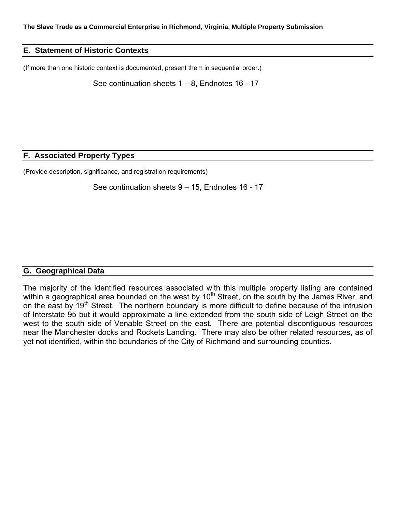#### **E. Statement of Historic Contexts**

(If more than one historic context is documented, present them in sequential order.)

See continuation sheets  $1 - 8$ , Endnotes 16 - 17

#### **F. Associated Property Types**

(Provide description, significance, and registration requirements)

See continuation sheets 9 – 15, Endnotes 16 - 17

#### **G. Geographical Data**

The majority of the identified resources associated with this multiple property listing are contained within a geographical area bounded on the west by 10<sup>th</sup> Street, on the south by the James River, and on the east by 19<sup>th</sup> Street. The northern boundary is more difficult to define because of the intrusion of Interstate 95 but it would approximate a line extended from the south side of Leigh Street on the west to the south side of Venable Street on the east. There are potential discontiguous resources near the Manchester docks and Rockets Landing. There may also be other related resources, as of yet not identified, within the boundaries of the City of Richmond and surrounding counties.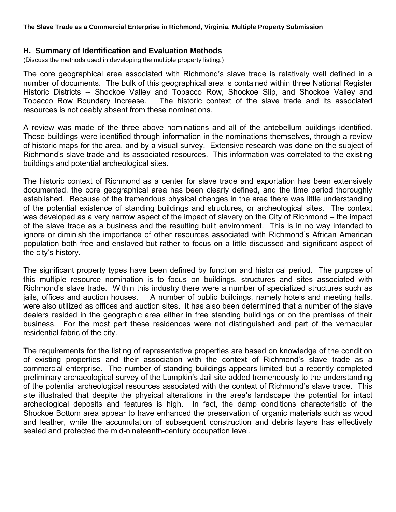#### **H. Summary of Identification and Evaluation Methods**

(Discuss the methods used in developing the multiple property listing.)

The core geographical area associated with Richmond's slave trade is relatively well defined in a number of documents. The bulk of this geographical area is contained within three National Register Historic Districts -- Shockoe Valley and Tobacco Row, Shockoe Slip, and Shockoe Valley and Tobacco Row Boundary Increase. The historic context of the slave trade and its associated resources is noticeably absent from these nominations.

A review was made of the three above nominations and all of the antebellum buildings identified. These buildings were identified through information in the nominations themselves, through a review of historic maps for the area, and by a visual survey. Extensive research was done on the subject of Richmond's slave trade and its associated resources. This information was correlated to the existing buildings and potential archeological sites.

The historic context of Richmond as a center for slave trade and exportation has been extensively documented, the core geographical area has been clearly defined, and the time period thoroughly established. Because of the tremendous physical changes in the area there was little understanding of the potential existence of standing buildings and structures, or archeological sites. The context was developed as a very narrow aspect of the impact of slavery on the City of Richmond – the impact of the slave trade as a business and the resulting built environment. This is in no way intended to ignore or diminish the importance of other resources associated with Richmond's African American population both free and enslaved but rather to focus on a little discussed and significant aspect of the city's history.

The significant property types have been defined by function and historical period. The purpose of this multiple resource nomination is to focus on buildings, structures and sites associated with Richmond's slave trade. Within this industry there were a number of specialized structures such as jails, offices and auction houses. A number of public buildings, namely hotels and meeting halls, were also utilized as offices and auction sites. It has also been determined that a number of the slave dealers resided in the geographic area either in free standing buildings or on the premises of their business. For the most part these residences were not distinguished and part of the vernacular residential fabric of the city.

The requirements for the listing of representative properties are based on knowledge of the condition of existing properties and their association with the context of Richmond's slave trade as a commercial enterprise. The number of standing buildings appears limited but a recently completed preliminary archaeological survey of the Lumpkin's Jail site added tremendously to the understanding of the potential archeological resources associated with the context of Richmond's slave trade. This site illustrated that despite the physical alterations in the area's landscape the potential for intact archeological deposits and features is high. In fact, the damp conditions characteristic of the Shockoe Bottom area appear to have enhanced the preservation of organic materials such as wood and leather, while the accumulation of subsequent construction and debris layers has effectively sealed and protected the mid-nineteenth-century occupation level.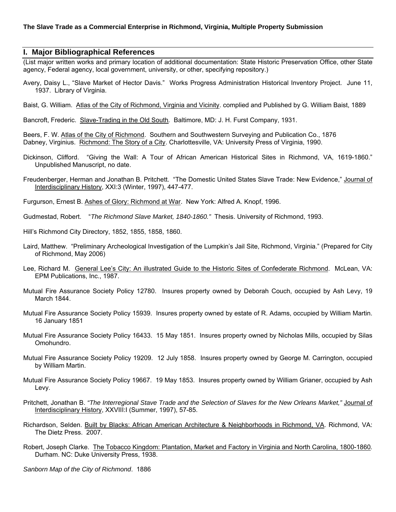#### **I. Major Bibliographical References**

(List major written works and primary location of additional documentation: State Historic Preservation Office, other State agency, Federal agency, local government, university, or other, specifying repository.)

Avery, Daisy L., "Slave Market of Hector Davis." Works Progress Administration Historical Inventory Project.June 11, 1937. Library of Virginia.

Baist, G. William. Atlas of the City of Richmond, Virginia and Vicinity. complied and Published by G. William Baist, 1889

Bancroft, Frederic. Slave-Trading in the Old South*.* Baltimore, MD: J. H. Furst Company, 1931.

Beers, F. W. Atlas of the City of Richmond. Southern and Southwestern Surveying and Publication Co., 1876 Dabney, Virginius. Richmond: The Story of a City. Charlottesville, VA: University Press of Virginia, 1990.

- Dickinson, Clifford. "Giving the Wall: A Tour of African American Historical Sites in Richmond, VA, 1619-1860." Unpublished Manuscript, no date.
- Freudenberger, Herman and Jonathan B. Pritchett. "The Domestic United States Slave Trade: New Evidence," Journal of Interdisciplinary History, XXI:3 (Winter, 1997), 447-477.
- Furgurson, Ernest B. Ashes of Glory: Richmond at War. New York: Alfred A. Knopf, 1996.
- Gudmestad, Robert. "*The Richmond Slave Market, 1840-1860."* Thesis. University of Richmond, 1993.
- Hill's Richmond City Directory, 1852, 1855, 1858, 1860.
- Laird, Matthew. "Preliminary Archeological Investigation of the Lumpkin's Jail Site, Richmond, Virginia." (Prepared for City of Richmond, May 2006)
- Lee, Richard M. General Lee's City: An illustrated Guide to the Historic Sites of Confederate Richmond. McLean, VA: EPM Publications, Inc., 1987.
- Mutual Fire Assurance Society Policy 12780. Insures property owned by Deborah Couch, occupied by Ash Levy, 19 March 1844.
- Mutual Fire Assurance Society Policy 15939. Insures property owned by estate of R. Adams, occupied by William Martin. 16 January 1851
- Mutual Fire Assurance Society Policy 16433. 15 May 1851. Insures property owned by Nicholas Mills, occupied by Silas Omohundro.
- Mutual Fire Assurance Society Policy 19209. 12 July 1858. Insures property owned by George M. Carrington, occupied by William Martin.
- Mutual Fire Assurance Society Policy 19667. 19 May 1853. Insures property owned by William Grianer, occupied by Ash Levy.
- Pritchett, Jonathan B. *"The Interregional Stave Trade and the Selection of Slaves for the New Orleans Market,"* Journal of Interdisciplinary History, XXVIII:I (Summer, 1997), 57-85.
- Richardson, Selden. Built by Blacks: African American Architecture & Neighborhoods in Richmond, VA. Richmond, VA: The Dietz Press. 2007.
- Robert, Joseph Clarke. The Tobacco Kingdom: Plantation, Market and Factory in Virginia and North Carolina, 1800-1860*.* Durham. NC: Duke University Press, 1938.

*Sanborn Map of the City of Richmond*. 1886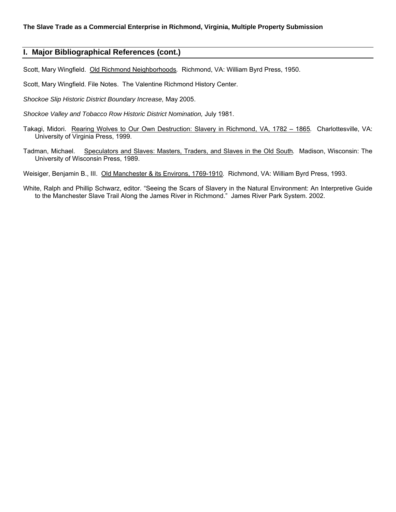#### **I. Major Bibliographical References (cont.)**

Scott, Mary Wingfield. Old Richmond Neighborhoods*.* Richmond, VA: William Byrd Press, 1950.

Scott, Mary Wingfield. File Notes. The Valentine Richmond History Center.

*Shockoe Slip Historic District Boundary Increase,* May 2005.

*Shockoe Valley and Tobacco Row Historic District Nomination,* July 1981.

- Takagi, Midori. Rearing Wolves to Our Own Destruction: Slavery in Richmond, VA, 1782 1865*.* Charlottesville, VA: University of Virginia Press, 1999.
- Tadman, Michael. Speculators and Slaves: Masters, Traders, and Slaves in the Old South*.* Madison, Wisconsin: The University of Wisconsin Press, 1989.

Weisiger, Benjamin B., III. Old Manchester & its Environs, 1769-1910*.* Richmond, VA: William Byrd Press, 1993.

White, Ralph and Phillip Schwarz, editor. "Seeing the Scars of Slavery in the Natural Environment: An Interpretive Guide to the Manchester Slave Trail Along the James River in Richmond."James River Park System. 2002.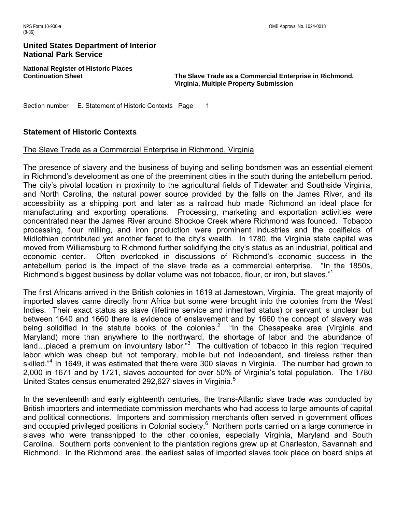**National Register of Historic Places** 

**Continuation Sheet The Slave Trade as a Commercial Enterprise in Richmond, Virginia, Multiple Property Submission** 

Section number E. Statement of Historic Contexts Page 1

#### **Statement of Historic Contexts**

#### The Slave Trade as a Commercial Enterprise in Richmond, Virginia

The presence of slavery and the business of buying and selling bondsmen was an essential element in Richmond's development as one of the preeminent cities in the south during the antebellum period. The city's pivotal location in proximity to the agricultural fields of Tidewater and Southside Virginia, and North Carolina, the natural power source provided by the falls on the James River, and its accessibility as a shipping port and later as a railroad hub made Richmond an ideal place for manufacturing and exporting operations. Processing, marketing and exportation activities were concentrated near the James River around Shockoe Creek where Richmond was founded. Tobacco processing, flour milling, and iron production were prominent industries and the coalfields of Midlothian contributed yet another facet to the city's wealth. In 1780, the Virginia state capital was moved from Williamsburg to Richmond further solidifying the city's status as an industrial, political and economic center. Often overlooked in discussions of Richmond's economic success in the antebellum period is the impact of the slave trade as a commercial enterprise. "In the 1850s, Richmond's biggest business by dollar volume was not tobacco, flour, or iron, but slaves."<sup>1</sup>

The first Africans arrived in the British colonies in 1619 at Jamestown, Virginia. The great majority of imported slaves came directly from Africa but some were brought into the colonies from the West Indies. Their exact status as slave (lifetime service and inherited status) or servant is unclear but between 1640 and 1660 there is evidence of enslavement and by 1660 the concept of slavery was being solidified in the statute books of the colonies.<sup>2</sup> "In the Chesapeake area (Virginia and Maryland) more than anywhere to the northward, the shortage of labor and the abundance of land...placed a premium on involuntary labor."<sup>3</sup> The cultivation of tobacco in this region "required labor which was cheap but not temporary, mobile but not independent, and tireless rather than skilled."<sup>4</sup> In 1649, it was estimated that there were 300 slaves in Virginia. The number had grown to 2,000 in 1671 and by 1721, slaves accounted for over 50% of Virginia's total population. The 1780 United States census enumerated 292,627 slaves in Virginia.<sup>5</sup>

In the seventeenth and early eighteenth centuries, the trans-Atlantic slave trade was conducted by British importers and intermediate commission merchants who had access to large amounts of capital and political connections. Importers and commission merchants often served in government offices and occupied privileged positions in Colonial society.<sup>6</sup> Northern ports carried on a large commerce in slaves who were transshipped to the other colonies, especially Virginia, Maryland and South Carolina. Southern ports convenient to the plantation regions grew up at Charleston, Savannah and Richmond. In the Richmond area, the earliest sales of imported slaves took place on board ships at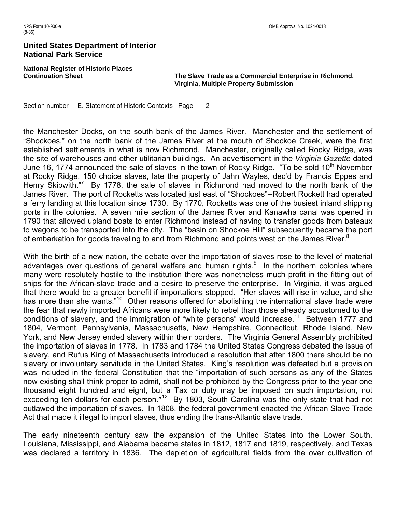**National Register of Historic Places** 

**Continuation Sheet The Slave Trade as a Commercial Enterprise in Richmond, Virginia, Multiple Property Submission** 

Section number E. Statement of Historic Contexts Page 2

the Manchester Docks, on the south bank of the James River. Manchester and the settlement of "Shockoes," on the north bank of the James River at the mouth of Shockoe Creek, were the first established settlements in what is now Richmond. Manchester, originally called Rocky Ridge, was the site of warehouses and other utilitarian buildings. An advertisement in the *Virginia Gazette* dated June 16, 1774 announced the sale of slaves in the town of Rocky Ridge. "To be sold 10<sup>th</sup> November at Rocky Ridge, 150 choice slaves, late the property of Jahn Wayles, dec'd by Francis Eppes and Henry Skipwith."<sup>7</sup> By 1778, the sale of slaves in Richmond had moved to the north bank of the James River. The port of Rocketts was located just east of "Shockoes"--Robert Rockett had operated a ferry landing at this location since 1730. By 1770, Rocketts was one of the busiest inland shipping ports in the colonies. A seven mile section of the James River and Kanawha canal was opened in 1790 that allowed upland boats to enter Richmond instead of having to transfer goods from bateaux to wagons to be transported into the city. The "basin on Shockoe Hill" subsequently became the port of embarkation for goods traveling to and from Richmond and points west on the James River.<sup>8</sup>

With the birth of a new nation, the debate over the importation of slaves rose to the level of material advantages over questions of general welfare and human rights. $9$  In the northern colonies where many were resolutely hostile to the institution there was nonetheless much profit in the fitting out of ships for the African-slave trade and a desire to preserve the enterprise. In Virginia, it was argued that there would be a greater benefit if importations stopped. "Her slaves will rise in value, and she has more than she wants."<sup>10</sup> Other reasons offered for abolishing the international slave trade were the fear that newly imported Africans were more likely to rebel than those already accustomed to the conditions of slavery, and the immigration of "white persons" would increase.<sup>11</sup> Between 1777 and 1804, Vermont, Pennsylvania, Massachusetts, New Hampshire, Connecticut, Rhode Island, New York, and New Jersey ended slavery within their borders. The Virginia General Assembly prohibited the importation of slaves in 1778. In 1783 and 1784 the United States Congress debated the issue of slavery, and Rufus King of Massachusetts introduced a resolution that after 1800 there should be no slavery or involuntary servitude in the United States. King's resolution was defeated but a provision was included in the federal Constitution that the "importation of such persons as any of the States now existing shall think proper to admit, shall not be prohibited by the Congress prior to the year one thousand eight hundred and eight, but a Tax or duty may be imposed on such importation, not exceeding ten dollars for each person."<sup>12</sup> By 1803, South Carolina was the only state that had not outlawed the importation of slaves. In 1808, the federal government enacted the African Slave Trade Act that made it illegal to import slaves, thus ending the trans-Atlantic slave trade.

The early nineteenth century saw the expansion of the United States into the Lower South. Louisiana, Mississippi, and Alabama became states in 1812, 1817 and 1819, respectively, and Texas was declared a territory in 1836. The depletion of agricultural fields from the over cultivation of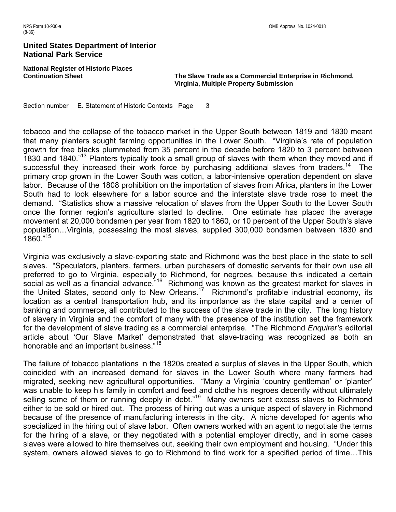**National Register of Historic Places** 

**Continuation Sheet The Slave Trade as a Commercial Enterprise in Richmond, Virginia, Multiple Property Submission** 

Section number **E. Statement of Historic Contexts** Page 3

tobacco and the collapse of the tobacco market in the Upper South between 1819 and 1830 meant that many planters sought farming opportunities in the Lower South. "Virginia's rate of population growth for free blacks plummeted from 35 percent in the decade before 1820 to 3 percent between 1830 and 1840."13 Planters typically took a small group of slaves with them when they moved and if successful they increased their work force by purchasing additional slaves from traders.<sup>14</sup> The primary crop grown in the Lower South was cotton, a labor-intensive operation dependent on slave labor. Because of the 1808 prohibition on the importation of slaves from Africa, planters in the Lower South had to look elsewhere for a labor source and the interstate slave trade rose to meet the demand. "Statistics show a massive relocation of slaves from the Upper South to the Lower South once the former region's agriculture started to decline. One estimate has placed the average movement at 20,000 bondsmen per year from 1820 to 1860, or 10 percent of the Upper South's slave population…Virginia, possessing the most slaves, supplied 300,000 bondsmen between 1830 and 1860."15

Virginia was exclusively a slave-exporting state and Richmond was the best place in the state to sell slaves. "Speculators, planters, farmers, urban purchasers of domestic servants for their own use all preferred to go to Virginia, especially to Richmond, for negroes, because this indicated a certain social as well as a financial advance.<sup>"16</sup> Richmond was known as the greatest market for slaves in the United States, second only to New Orleans.<sup>17</sup> Richmond's profitable industrial economy, its location as a central transportation hub, and its importance as the state capital and a center of banking and commerce, all contributed to the success of the slave trade in the city. The long history of slavery in Virginia and the comfort of many with the presence of the institution set the framework for the development of slave trading as a commercial enterprise. "The Richmond *Enquirer's* editorial article about 'Our Slave Market' demonstrated that slave-trading was recognized as both an honorable and an important business."<sup>18</sup>

The failure of tobacco plantations in the 1820s created a surplus of slaves in the Upper South, which coincided with an increased demand for slaves in the Lower South where many farmers had migrated, seeking new agricultural opportunities. "Many a Virginia 'country gentleman' or 'planter' was unable to keep his family in comfort and feed and clothe his negroes decently without ultimately selling some of them or running deeply in debt."<sup>19</sup> Many owners sent excess slaves to Richmond either to be sold or hired out. The process of hiring out was a unique aspect of slavery in Richmond because of the presence of manufacturing interests in the city. A niche developed for agents who specialized in the hiring out of slave labor. Often owners worked with an agent to negotiate the terms for the hiring of a slave, or they negotiated with a potential employer directly, and in some cases slaves were allowed to hire themselves out, seeking their own employment and housing. "Under this system, owners allowed slaves to go to Richmond to find work for a specified period of time…This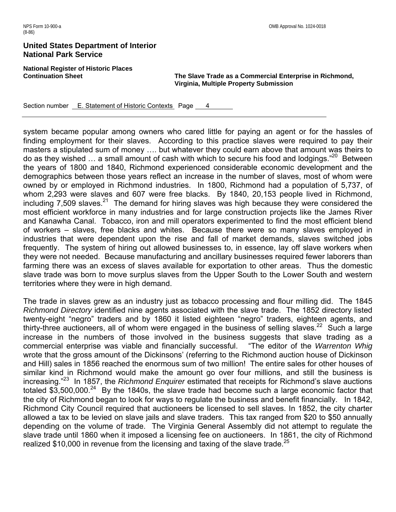**National Register of Historic Places** 

**Continuation Sheet The Slave Trade as a Commercial Enterprise in Richmond, Virginia, Multiple Property Submission** 

Section number E. Statement of Historic Contexts Page 4

system became popular among owners who cared little for paying an agent or for the hassles of finding employment for their slaves. According to this practice slaves were required to pay their masters a stipulated sum of money …. but whatever they could earn above that amount was theirs to do as they wished ... a small amount of cash with which to secure his food and lodgings."<sup>20</sup> Between the years of 1800 and 1840, Richmond experienced considerable economic development and the demographics between those years reflect an increase in the number of slaves, most of whom were owned by or employed in Richmond industries. In 1800, Richmond had a population of 5,737, of whom 2,293 were slaves and 607 were free blacks. By 1840, 20,153 people lived in Richmond, including 7,509 slaves. $21$  The demand for hiring slaves was high because they were considered the most efficient workforce in many industries and for large construction projects like the James River and Kanawha Canal. Tobacco, iron and mill operators experimented to find the most efficient blend of workers – slaves, free blacks and whites. Because there were so many slaves employed in industries that were dependent upon the rise and fall of market demands, slaves switched jobs frequently. The system of hiring out allowed businesses to, in essence, lay off slave workers when they were not needed. Because manufacturing and ancillary businesses required fewer laborers than farming there was an excess of slaves available for exportation to other areas. Thus the domestic slave trade was born to move surplus slaves from the Upper South to the Lower South and western territories where they were in high demand.

The trade in slaves grew as an industry just as tobacco processing and flour milling did. The 1845 *Richmond Directory* identified nine agents associated with the slave trade. The 1852 directory listed twenty-eight "negro" traders and by 1860 it listed eighteen "negro" traders, eighteen agents, and thirty-three auctioneers, all of whom were engaged in the business of selling slaves.<sup>22</sup> Such a large increase in the numbers of those involved in the business suggests that slave trading as a commercial enterprise was viable and financially successful. "The editor of the *Warrenton Whig* wrote that the gross amount of the Dickinsons' (referring to the Richmond auction house of Dickinson and Hill) sales in 1856 reached the enormous sum of two million! The entire sales for other houses of similar kind in Richmond would make the amount go over four millions, and still the business is increasing."23 In 1857, the *Richmond Enquirer* estimated that receipts for Richmond's slave auctions totaled \$3,500,000.<sup>24</sup> By the 1840s, the slave trade had become such a large economic factor that the city of Richmond began to look for ways to regulate the business and benefit financially. In 1842, Richmond City Council required that auctioneers be licensed to sell slaves. In 1852, the city charter allowed a tax to be levied on slave jails and slave traders. This tax ranged from \$20 to \$50 annually depending on the volume of trade. The Virginia General Assembly did not attempt to regulate the slave trade until 1860 when it imposed a licensing fee on auctioneers. In 1861, the city of Richmond realized \$10,000 in revenue from the licensing and taxing of the slave trade.<sup>25</sup>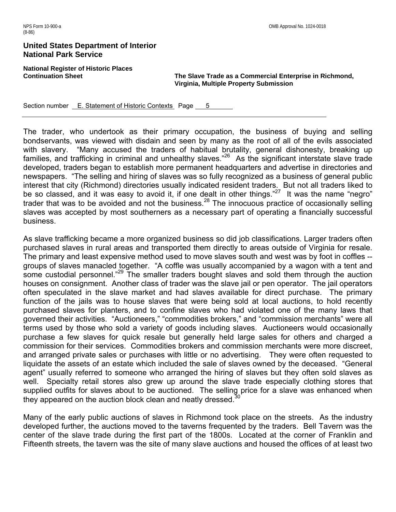**National Register of Historic Places** 

**Continuation Sheet The Slave Trade as a Commercial Enterprise in Richmond, Virginia, Multiple Property Submission** 

Section number E. Statement of Historic Contexts Page 5

The trader, who undertook as their primary occupation, the business of buying and selling bondservants, was viewed with disdain and seen by many as the root of all of the evils associated with slavery. "Many accused the traders of habitual brutality, general dishonesty, breaking up families, and trafficking in criminal and unhealthy slaves."<sup>26</sup> As the significant interstate slave trade developed, traders began to establish more permanent headquarters and advertise in directories and newspapers. "The selling and hiring of slaves was so fully recognized as a business of general public interest that city (Richmond) directories usually indicated resident traders. But not all traders liked to be so classed, and it was easy to avoid it, if one dealt in other things."<sup>27</sup> It was the name "negro" trader that was to be avoided and not the business.<sup>28</sup> The innocuous practice of occasionally selling slaves was accepted by most southerners as a necessary part of operating a financially successful business.

As slave trafficking became a more organized business so did job classifications. Larger traders often purchased slaves in rural areas and transported them directly to areas outside of Virginia for resale. The primary and least expensive method used to move slaves south and west was by foot in coffles - groups of slaves manacled together. "A coffle was usually accompanied by a wagon with a tent and some custodial personnel.<sup>"29</sup> The smaller traders bought slaves and sold them through the auction houses on consignment. Another class of trader was the slave jail or pen operator. The jail operators often speculated in the slave market and had slaves available for direct purchase. The primary function of the jails was to house slaves that were being sold at local auctions, to hold recently purchased slaves for planters, and to confine slaves who had violated one of the many laws that governed their activities. "Auctioneers," "commodities brokers," and "commission merchants" were all terms used by those who sold a variety of goods including slaves. Auctioneers would occasionally purchase a few slaves for quick resale but generally held large sales for others and charged a commission for their services. Commodities brokers and commission merchants were more discreet, and arranged private sales or purchases with little or no advertising. They were often requested to liquidate the assets of an estate which included the sale of slaves owned by the deceased. "General agent" usually referred to someone who arranged the hiring of slaves but they often sold slaves as well. Specialty retail stores also grew up around the slave trade especially clothing stores that supplied outfits for slaves about to be auctioned. The selling price for a slave was enhanced when they appeared on the auction block clean and neatly dressed.<sup>30</sup>

Many of the early public auctions of slaves in Richmond took place on the streets. As the industry developed further, the auctions moved to the taverns frequented by the traders. Bell Tavern was the center of the slave trade during the first part of the 1800s. Located at the corner of Franklin and Fifteenth streets, the tavern was the site of many slave auctions and housed the offices of at least two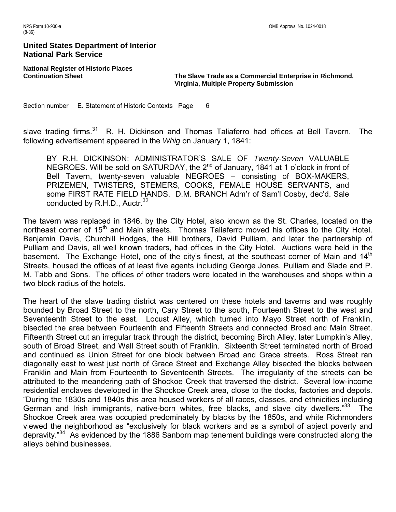**National Register of Historic Places** 

**Continuation Sheet The Slave Trade as a Commercial Enterprise in Richmond, Virginia, Multiple Property Submission** 

Section number E. Statement of Historic Contexts Page 6

slave trading firms.<sup>31</sup> R. H. Dickinson and Thomas Taliaferro had offices at Bell Tavern. The following advertisement appeared in the *Whig* on January 1, 1841:

BY R.H. DICKINSON: ADMINISTRATOR'S SALE OF *Twenty-Seven* VALUABLE NEGROES. Will be sold on SATURDAY, the 2<sup>nd</sup> of January, 1841 at 1 o'clock in front of Bell Tavern, twenty-seven valuable NEGROES – consisting of BOX-MAKERS, PRIZEMEN, TWISTERS, STEMERS, COOKS, FEMALE HOUSE SERVANTS, and some FIRST RATE FIELD HANDS. D.M. BRANCH Adm'r of Sam'l Cosby, dec'd. Sale conducted by  $R.H.D., Auctr.<sup>32</sup>$ 

The tavern was replaced in 1846, by the City Hotel, also known as the St. Charles, located on the northeast corner of 15<sup>th</sup> and Main streets. Thomas Taliaferro moved his offices to the City Hotel. Benjamin Davis, Churchill Hodges, the Hill brothers, David Pulliam, and later the partnership of Pulliam and Davis, all well known traders, had offices in the City Hotel. Auctions were held in the basement. The Exchange Hotel, one of the city's finest, at the southeast corner of Main and 14<sup>th</sup> Streets, housed the offices of at least five agents including George Jones, Pulliam and Slade and P. M. Tabb and Sons. The offices of other traders were located in the warehouses and shops within a two block radius of the hotels.

The heart of the slave trading district was centered on these hotels and taverns and was roughly bounded by Broad Street to the north, Cary Street to the south, Fourteenth Street to the west and Seventeenth Street to the east. Locust Alley, which turned into Mayo Street north of Franklin, bisected the area between Fourteenth and Fifteenth Streets and connected Broad and Main Street. Fifteenth Street cut an irregular track through the district, becoming Birch Alley, later Lumpkin's Alley, south of Broad Street, and Wall Street south of Franklin. Sixteenth Street terminated north of Broad and continued as Union Street for one block between Broad and Grace streets. Ross Street ran diagonally east to west just north of Grace Street and Exchange Alley bisected the blocks between Franklin and Main from Fourteenth to Seventeenth Streets. The irregularity of the streets can be attributed to the meandering path of Shockoe Creek that traversed the district. Several low-income residential enclaves developed in the Shockoe Creek area, close to the docks, factories and depots. "During the 1830s and 1840s this area housed workers of all races, classes, and ethnicities including German and Irish immigrants, native-born whites, free blacks, and slave city dwellers."<sup>33</sup> The Shockoe Creek area was occupied predominately by blacks by the 1850s, and white Richmonders viewed the neighborhood as "exclusively for black workers and as a symbol of abject poverty and depravity."<sup>34</sup> As evidenced by the 1886 Sanborn map tenement buildings were constructed along the alleys behind businesses.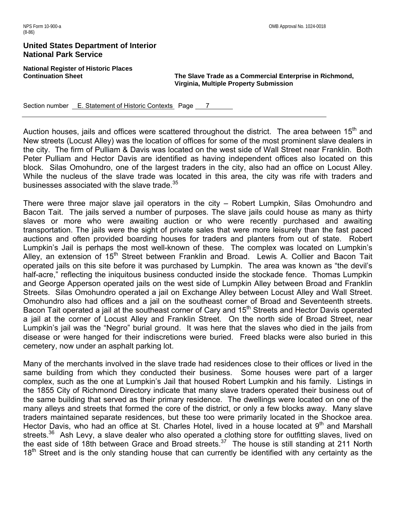**National Register of Historic Places** 

**Continuation Sheet The Slave Trade as a Commercial Enterprise in Richmond, Virginia, Multiple Property Submission** 

Section number E. Statement of Historic Contexts Page 7

Auction houses, jails and offices were scattered throughout the district. The area between 15<sup>th</sup> and New streets (Locust Alley) was the location of offices for some of the most prominent slave dealers in the city. The firm of Pulliam & Davis was located on the west side of Wall Street near Franklin. Both Peter Pulliam and Hector Davis are identified as having independent offices also located on this block. Silas Omohundro, one of the largest traders in the city, also had an office on Locust Alley. While the nucleus of the slave trade was located in this area, the city was rife with traders and businesses associated with the slave trade.<sup>35</sup>

There were three major slave jail operators in the city – Robert Lumpkin, Silas Omohundro and Bacon Tait. The jails served a number of purposes. The slave jails could house as many as thirty slaves or more who were awaiting auction or who were recently purchased and awaiting transportation. The jails were the sight of private sales that were more leisurely than the fast paced auctions and often provided boarding houses for traders and planters from out of state. Robert Lumpkin's Jail is perhaps the most well-known of these. The complex was located on Lumpkin's Alley, an extension of 15<sup>th</sup> Street between Franklin and Broad. Lewis A. Collier and Bacon Tait operated jails on this site before it was purchased by Lumpkin. The area was known as "the devil's half-acre," reflecting the iniquitous business conducted inside the stockade fence. Thomas Lumpkin and George Apperson operated jails on the west side of Lumpkin Alley between Broad and Franklin Streets. Silas Omohundro operated a jail on Exchange Alley between Locust Alley and Wall Street. Omohundro also had offices and a jail on the southeast corner of Broad and Seventeenth streets. Bacon Tait operated a jail at the southeast corner of Cary and 15<sup>th</sup> Streets and Hector Davis operated a jail at the corner of Locust Alley and Franklin Street. On the north side of Broad Street, near Lumpkin's jail was the "Negro" burial ground. It was here that the slaves who died in the jails from disease or were hanged for their indiscretions were buried. Freed blacks were also buried in this cemetery, now under an asphalt parking lot.

Many of the merchants involved in the slave trade had residences close to their offices or lived in the same building from which they conducted their business. Some houses were part of a larger complex, such as the one at Lumpkin's Jail that housed Robert Lumpkin and his family. Listings in the 1855 City of Richmond Directory indicate that many slave traders operated their business out of the same building that served as their primary residence. The dwellings were located on one of the many alleys and streets that formed the core of the district, or only a few blocks away. Many slave traders maintained separate residences, but these too were primarily located in the Shockoe area. Hector Davis, who had an office at St. Charles Hotel, lived in a house located at 9<sup>th</sup> and Marshall streets.<sup>36</sup> Ash Levy, a slave dealer who also operated a clothing store for outfitting slaves, lived on the east side of 18th between Grace and Broad streets.<sup>37</sup> The house is still standing at 211 North 18<sup>th</sup> Street and is the only standing house that can currently be identified with any certainty as the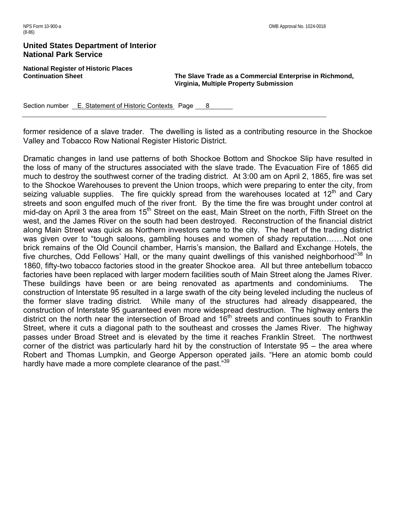**National Register of Historic Places** 

**Continuation Sheet The Slave Trade as a Commercial Enterprise in Richmond, Virginia, Multiple Property Submission** 

Section number **E. Statement of Historic Contexts** Page 8

former residence of a slave trader. The dwelling is listed as a contributing resource in the Shockoe Valley and Tobacco Row National Register Historic District.

Dramatic changes in land use patterns of both Shockoe Bottom and Shockoe Slip have resulted in the loss of many of the structures associated with the slave trade. The Evacuation Fire of 1865 did much to destroy the southwest corner of the trading district. At 3:00 am on April 2, 1865, fire was set to the Shockoe Warehouses to prevent the Union troops, which were preparing to enter the city, from seizing valuable supplies. The fire quickly spread from the warehouses located at  $12<sup>th</sup>$  and Cary streets and soon engulfed much of the river front. By the time the fire was brought under control at mid-day on April 3 the area from 15<sup>th</sup> Street on the east, Main Street on the north, Fifth Street on the west, and the James River on the south had been destroyed. Reconstruction of the financial district along Main Street was quick as Northern investors came to the city. The heart of the trading district was given over to "tough saloons, gambling houses and women of shady reputation…….Not one brick remains of the Old Council chamber, Harris's mansion, the Ballard and Exchange Hotels, the five churches, Odd Fellows' Hall, or the many quaint dwellings of this vanished neighborhood"<sup>38</sup> In 1860, fifty-two tobacco factories stood in the greater Shockoe area. All but three antebellum tobacco factories have been replaced with larger modern facilities south of Main Street along the James River. These buildings have been or are being renovated as apartments and condominiums. The construction of Interstate 95 resulted in a large swath of the city being leveled including the nucleus of the former slave trading district. While many of the structures had already disappeared, the construction of Interstate 95 guaranteed even more widespread destruction. The highway enters the district on the north near the intersection of Broad and 16<sup>th</sup> streets and continues south to Franklin Street, where it cuts a diagonal path to the southeast and crosses the James River. The highway passes under Broad Street and is elevated by the time it reaches Franklin Street. The northwest corner of the district was particularly hard hit by the construction of Interstate 95 – the area where Robert and Thomas Lumpkin, and George Apperson operated jails. "Here an atomic bomb could hardly have made a more complete clearance of the past."39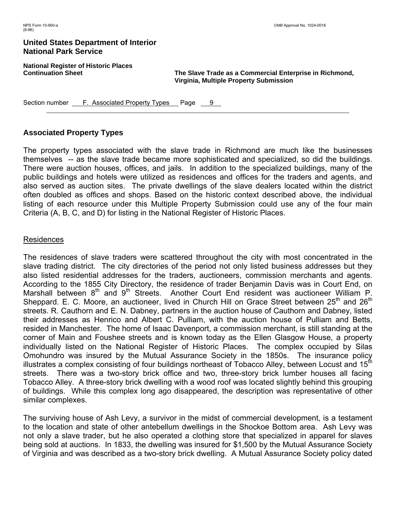**National Register of Historic Places** 

**Continuation Sheet The Slave Trade as a Commercial Enterprise in Richmond, Virginia, Multiple Property Submission** 

Section number <u>F. Associated Property Types</u> Page 9

# **Associated Property Types**

The property types associated with the slave trade in Richmond are much like the businesses themselves -- as the slave trade became more sophisticated and specialized, so did the buildings. There were auction houses, offices, and jails. In addition to the specialized buildings, many of the public buildings and hotels were utilized as residences and offices for the traders and agents, and also served as auction sites. The private dwellings of the slave dealers located within the district often doubled as offices and shops. Based on the historic context described above, the individual listing of each resource under this Multiple Property Submission could use any of the four main Criteria (A, B, C, and D) for listing in the National Register of Historic Places.

## Residences

The residences of slave traders were scattered throughout the city with most concentrated in the slave trading district. The city directories of the period not only listed business addresses but they also listed residential addresses for the traders, auctioneers, commission merchants and agents. According to the 1855 City Directory, the residence of trader Benjamin Davis was in Court End, on Marshall between  $8<sup>th</sup>$  and  $9<sup>th</sup>$  Streets. Another Court End resident was auctioneer William P. Sheppard. E. C. Moore, an auctioneer, lived in Church Hill on Grace Street between  $25<sup>th</sup>$  and  $26<sup>th</sup>$ streets. R. Cauthorn and E. N. Dabney, partners in the auction house of Cauthorn and Dabney, listed their addresses as Henrico and Albert C. Pulliam, with the auction house of Pulliam and Betts, resided in Manchester. The home of Isaac Davenport, a commission merchant, is still standing at the corner of Main and Foushee streets and is known today as the Ellen Glasgow House, a property individually listed on the National Register of Historic Places. The complex occupied by Silas Omohundro was insured by the Mutual Assurance Society in the 1850s. The insurance policy illustrates a complex consisting of four buildings northeast of Tobacco Alley, between Locust and  $15<sup>th</sup>$ streets. There was a two-story brick office and two, three-story brick lumber houses all facing Tobacco Alley. A three-story brick dwelling with a wood roof was located slightly behind this grouping of buildings. While this complex long ago disappeared, the description was representative of other similar complexes.

The surviving house of Ash Levy, a survivor in the midst of commercial development, is a testament to the location and state of other antebellum dwellings in the Shockoe Bottom area. Ash Levy was not only a slave trader, but he also operated a clothing store that specialized in apparel for slaves being sold at auctions. In 1833, the dwelling was insured for \$1,500 by the Mutual Assurance Society of Virginia and was described as a two-story brick dwelling. A Mutual Assurance Society policy dated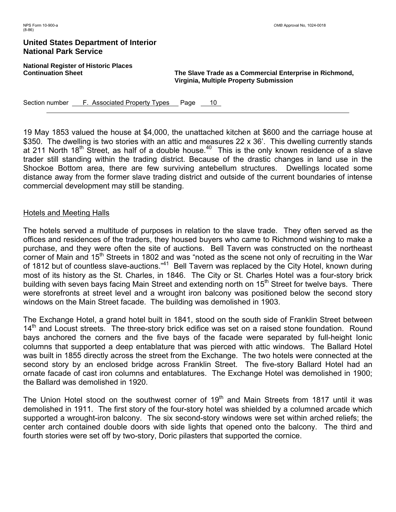**National Register of Historic Places** 

**Continuation Sheet The Slave Trade as a Commercial Enterprise in Richmond, Virginia, Multiple Property Submission** 

Section number <u>F. Associated Property Types</u> Page 10

19 May 1853 valued the house at \$4,000, the unattached kitchen at \$600 and the carriage house at \$350. The dwelling is two stories with an attic and measures 22 x 36'. This dwelling currently stands at 211 North 18<sup>th</sup> Street, as half of a double house.<sup>40</sup> This is the only known residence of a slave trader still standing within the trading district. Because of the drastic changes in land use in the Shockoe Bottom area, there are few surviving antebellum structures. Dwellings located some distance away from the former slave trading district and outside of the current boundaries of intense commercial development may still be standing.

#### Hotels and Meeting Halls

The hotels served a multitude of purposes in relation to the slave trade. They often served as the offices and residences of the traders, they housed buyers who came to Richmond wishing to make a purchase, and they were often the site of auctions. Bell Tavern was constructed on the northeast corner of Main and 15<sup>th</sup> Streets in 1802 and was "noted as the scene not only of recruiting in the War of 1812 but of countless slave-auctions."<sup>41</sup> Bell Tavern was replaced by the City Hotel, known during most of its history as the St. Charles, in 1846. The City or St. Charles Hotel was a four-story brick building with seven bays facing Main Street and extending north on 15<sup>th</sup> Street for twelve bays. There were storefronts at street level and a wrought iron balcony was positioned below the second story windows on the Main Street facade. The building was demolished in 1903.

The Exchange Hotel, a grand hotel built in 1841, stood on the south side of Franklin Street between 14<sup>th</sup> and Locust streets. The three-story brick edifice was set on a raised stone foundation. Round bays anchored the corners and the five bays of the facade were separated by full-height Ionic columns that supported a deep entablature that was pierced with attic windows. The Ballard Hotel was built in 1855 directly across the street from the Exchange. The two hotels were connected at the second story by an enclosed bridge across Franklin Street. The five-story Ballard Hotel had an ornate facade of cast iron columns and entablatures. The Exchange Hotel was demolished in 1900; the Ballard was demolished in 1920.

The Union Hotel stood on the southwest corner of 19<sup>th</sup> and Main Streets from 1817 until it was demolished in 1911. The first story of the four-story hotel was shielded by a columned arcade which supported a wrought-iron balcony. The six second-story windows were set within arched reliefs; the center arch contained double doors with side lights that opened onto the balcony. The third and fourth stories were set off by two-story, Doric pilasters that supported the cornice.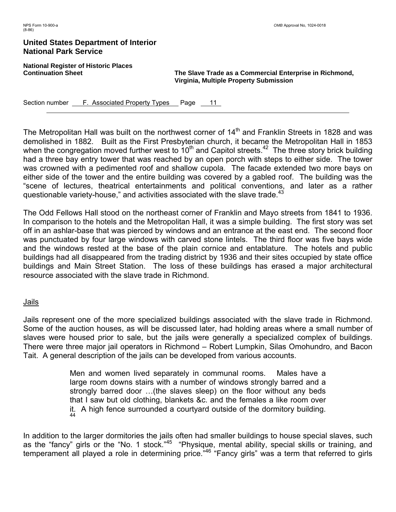**National Register of Historic Places** 

**Continuation Sheet The Slave Trade as a Commercial Enterprise in Richmond, Virginia, Multiple Property Submission** 

Section number **F. Associated Property Types** Page 11

The Metropolitan Hall was built on the northwest corner of  $14<sup>th</sup>$  and Franklin Streets in 1828 and was demolished in 1882. Built as the First Presbyterian church, it became the Metropolitan Hall in 1853 when the congregation moved further west to  $10<sup>th</sup>$  and Capitol streets.<sup>42</sup> The three story brick building had a three bay entry tower that was reached by an open porch with steps to either side. The tower was crowned with a pedimented roof and shallow cupola. The facade extended two more bays on either side of the tower and the entire building was covered by a gabled roof. The building was the "scene of lectures, theatrical entertainments and political conventions, and later as a rather questionable variety-house," and activities associated with the slave trade. $43$ 

The Odd Fellows Hall stood on the northeast corner of Franklin and Mayo streets from 1841 to 1936. In comparison to the hotels and the Metropolitan Hall, it was a simple building. The first story was set off in an ashlar-base that was pierced by windows and an entrance at the east end. The second floor was punctuated by four large windows with carved stone lintels. The third floor was five bays wide and the windows rested at the base of the plain cornice and entablature. The hotels and public buildings had all disappeared from the trading district by 1936 and their sites occupied by state office buildings and Main Street Station. The loss of these buildings has erased a major architectural resource associated with the slave trade in Richmond.

#### Jails

Jails represent one of the more specialized buildings associated with the slave trade in Richmond. Some of the auction houses, as will be discussed later, had holding areas where a small number of slaves were housed prior to sale, but the jails were generally a specialized complex of buildings. There were three major jail operators in Richmond – Robert Lumpkin, Silas Omohundro, and Bacon Tait. A general description of the jails can be developed from various accounts.

> Men and women lived separately in communal rooms. Males have a large room downs stairs with a number of windows strongly barred and a strongly barred door …(the slaves sleep) on the floor without any beds that I saw but old clothing, blankets &c. and the females a like room over it. A high fence surrounded a courtyard outside of the dormitory building. 44

In addition to the larger dormitories the jails often had smaller buildings to house special slaves, such as the "fancy" girls or the "No. 1 stock."<sup>45</sup> "Physique, mental ability, special skills or training, and temperament all played a role in determining price."<sup>46</sup> "Fancy girls" was a term that referred to girls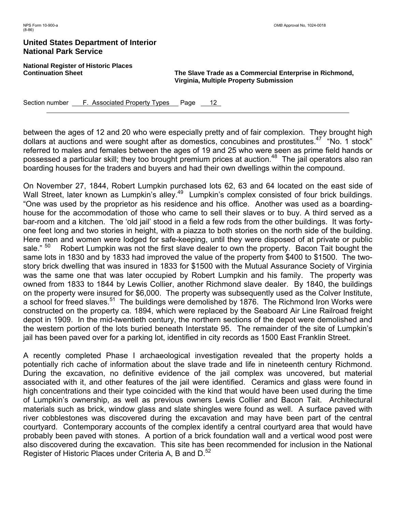**National Register of Historic Places** 

**Continuation Sheet The Slave Trade as a Commercial Enterprise in Richmond, Virginia, Multiple Property Submission** 

Section number <u>F. Associated Property Types</u> Page 12

between the ages of 12 and 20 who were especially pretty and of fair complexion. They brought high dollars at auctions and were sought after as domestics, concubines and prostitutes.<sup>47</sup> "No. 1 stock" referred to males and females between the ages of 19 and 25 who were seen as prime field hands or possessed a particular skill; they too brought premium prices at auction.<sup>48</sup> The jail operators also ran boarding houses for the traders and buyers and had their own dwellings within the compound.

On November 27, 1844, Robert Lumpkin purchased lots 62, 63 and 64 located on the east side of Wall Street, later known as Lumpkin's alley.<sup>49</sup> Lumpkin's complex consisted of four brick buildings. "One was used by the proprietor as his residence and his office. Another was used as a boardinghouse for the accommodation of those who came to sell their slaves or to buy. A third served as a bar-room and a kitchen. The 'old jail' stood in a field a few rods from the other buildings. It was fortyone feet long and two stories in height, with a piazza to both stories on the north side of the building. Here men and women were lodged for safe-keeping, until they were disposed of at private or public sale."  $50$  Robert Lumpkin was not the first slave dealer to own the property. Bacon Tait bought the same lots in 1830 and by 1833 had improved the value of the property from \$400 to \$1500. The twostory brick dwelling that was insured in 1833 for \$1500 with the Mutual Assurance Society of Virginia was the same one that was later occupied by Robert Lumpkin and his family. The property was owned from 1833 to 1844 by Lewis Collier, another Richmond slave dealer. By 1840, the buildings on the property were insured for \$6,000. The property was subsequently used as the Colver Institute, a school for freed slaves.<sup>51</sup> The buildings were demolished by 1876. The Richmond Iron Works were constructed on the property ca. 1894, which were replaced by the Seaboard Air Line Railroad freight depot in 1909. In the mid-twentieth century, the northern sections of the depot were demolished and the western portion of the lots buried beneath Interstate 95. The remainder of the site of Lumpkin's jail has been paved over for a parking lot, identified in city records as 1500 East Franklin Street.

A recently completed Phase I archaeological investigation revealed that the property holds a potentially rich cache of information about the slave trade and life in nineteenth century Richmond. During the excavation, no definitive evidence of the jail complex was uncovered, but material associated with it, and other features of the jail were identified. Ceramics and glass were found in high concentrations and their type coincided with the kind that would have been used during the time of Lumpkin's ownership, as well as previous owners Lewis Collier and Bacon Tait. Architectural materials such as brick, window glass and slate shingles were found as well. A surface paved with river cobblestones was discovered during the excavation and may have been part of the central courtyard. Contemporary accounts of the complex identify a central courtyard area that would have probably been paved with stones. A portion of a brick foundation wall and a vertical wood post were also discovered during the excavation. This site has been recommended for inclusion in the National Register of Historic Places under Criteria A, B and D.<sup>52</sup>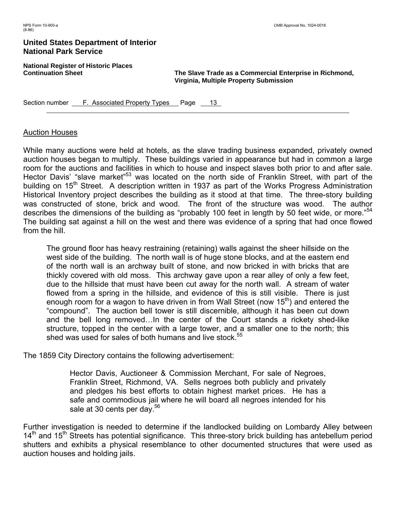**National Register of Historic Places** 

**Continuation Sheet The Slave Trade as a Commercial Enterprise in Richmond, Virginia, Multiple Property Submission** 

Section number <u>F. Associated Property Types</u> Page 13

# Auction Houses

While many auctions were held at hotels, as the slave trading business expanded, privately owned auction houses began to multiply. These buildings varied in appearance but had in common a large room for the auctions and facilities in which to house and inspect slaves both prior to and after sale. Hector Davis' "slave market"<sup>53</sup> was located on the north side of Franklin Street, with part of the building on 15<sup>th</sup> Street. A description written in 1937 as part of the Works Progress Administration Historical Inventory project describes the building as it stood at that time. The three-story building was constructed of stone, brick and wood. The front of the structure was wood. The author describes the dimensions of the building as "probably 100 feet in length by 50 feet wide, or more."<sup>54</sup> The building sat against a hill on the west and there was evidence of a spring that had once flowed from the hill.

The ground floor has heavy restraining (retaining) walls against the sheer hillside on the west side of the building. The north wall is of huge stone blocks, and at the eastern end of the north wall is an archway built of stone, and now bricked in with bricks that are thickly covered with old moss. This archway gave upon a rear alley of only a few feet, due to the hillside that must have been cut away for the north wall. A stream of water flowed from a spring in the hillside, and evidence of this is still visible. There is just enough room for a wagon to have driven in from Wall Street (now  $15<sup>th</sup>$ ) and entered the "compound". The auction bell tower is still discernible, although it has been cut down and the bell long removed…In the center of the Court stands a rickety shed-like structure, topped in the center with a large tower, and a smaller one to the north; this shed was used for sales of both humans and live stock.<sup>55</sup>

The 1859 City Directory contains the following advertisement:

Hector Davis, Auctioneer & Commission Merchant, For sale of Negroes, Franklin Street, Richmond, VA. Sells negroes both publicly and privately and pledges his best efforts to obtain highest market prices. He has a safe and commodious jail where he will board all negroes intended for his sale at 30 cents per day.<sup>56</sup>

Further investigation is needed to determine if the landlocked building on Lombardy Alley between  $14<sup>th</sup>$  and  $15<sup>th</sup>$  Streets has potential significance. This three-story brick building has antebellum period shutters and exhibits a physical resemblance to other documented structures that were used as auction houses and holding jails.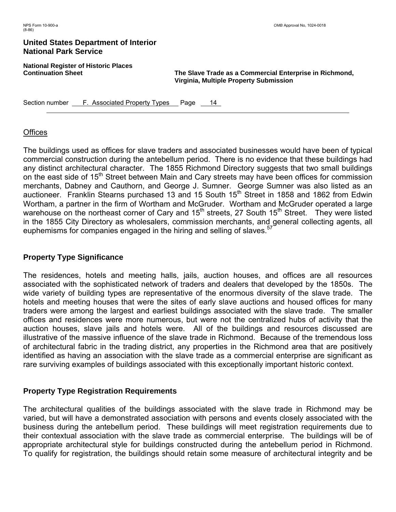**National Register of Historic Places** 

**Continuation Sheet The Slave Trade as a Commercial Enterprise in Richmond, Virginia, Multiple Property Submission** 

Section number **F. Associated Property Types** Page 14

## **Offices**

The buildings used as offices for slave traders and associated businesses would have been of typical commercial construction during the antebellum period. There is no evidence that these buildings had any distinct architectural character. The 1855 Richmond Directory suggests that two small buildings on the east side of 15<sup>th</sup> Street between Main and Cary streets may have been offices for commission merchants, Dabney and Cauthorn, and George J. Sumner. George Sumner was also listed as an auctioneer. Franklin Stearns purchased 13 and 15 South 15<sup>th</sup> Street in 1858 and 1862 from Edwin Wortham, a partner in the firm of Wortham and McGruder. Wortham and McGruder operated a large warehouse on the northeast corner of Cary and 15<sup>th</sup> streets, 27 South 15<sup>th</sup> Street. They were listed in the 1855 City Directory as wholesalers, commission merchants, and general collecting agents, all euphemisms for companies engaged in the hiring and selling of slaves.<sup>57</sup>

# **Property Type Significance**

The residences, hotels and meeting halls, jails, auction houses, and offices are all resources associated with the sophisticated network of traders and dealers that developed by the 1850s. The wide variety of building types are representative of the enormous diversity of the slave trade. The hotels and meeting houses that were the sites of early slave auctions and housed offices for many traders were among the largest and earliest buildings associated with the slave trade. The smaller offices and residences were more numerous, but were not the centralized hubs of activity that the auction houses, slave jails and hotels were. All of the buildings and resources discussed are illustrative of the massive influence of the slave trade in Richmond. Because of the tremendous loss of architectural fabric in the trading district, any properties in the Richmond area that are positively identified as having an association with the slave trade as a commercial enterprise are significant as rare surviving examples of buildings associated with this exceptionally important historic context.

# **Property Type Registration Requirements**

The architectural qualities of the buildings associated with the slave trade in Richmond may be varied, but will have a demonstrated association with persons and events closely associated with the business during the antebellum period. These buildings will meet registration requirements due to their contextual association with the slave trade as commercial enterprise. The buildings will be of appropriate architectural style for buildings constructed during the antebellum period in Richmond. To qualify for registration, the buildings should retain some measure of architectural integrity and be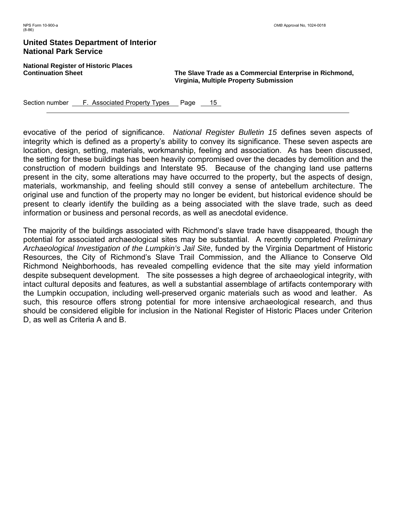**National Register of Historic Places** 

**Continuation Sheet The Slave Trade as a Commercial Enterprise in Richmond, Virginia, Multiple Property Submission** 

Section number <u>F. Associated Property Types</u> Page 15

evocative of the period of significance. *National Register Bulletin 15* defines seven aspects of integrity which is defined as a property's ability to convey its significance. These seven aspects are location, design, setting, materials, workmanship, feeling and association. As has been discussed, the setting for these buildings has been heavily compromised over the decades by demolition and the construction of modern buildings and Interstate 95. Because of the changing land use patterns present in the city, some alterations may have occurred to the property, but the aspects of design, materials, workmanship, and feeling should still convey a sense of antebellum architecture. The original use and function of the property may no longer be evident, but historical evidence should be present to clearly identify the building as a being associated with the slave trade, such as deed information or business and personal records, as well as anecdotal evidence.

The majority of the buildings associated with Richmond's slave trade have disappeared, though the potential for associated archaeological sites may be substantial. A recently completed *Preliminary Archaeological Investigation of the Lumpkin's Jail Site*, funded by the Virginia Department of Historic Resources, the City of Richmond's Slave Trail Commission, and the Alliance to Conserve Old Richmond Neighborhoods, has revealed compelling evidence that the site may yield information despite subsequent development. The site possesses a high degree of archaeological integrity, with intact cultural deposits and features, as well a substantial assemblage of artifacts contemporary with the Lumpkin occupation, including well-preserved organic materials such as wood and leather. As such, this resource offers strong potential for more intensive archaeological research, and thus should be considered eligible for inclusion in the National Register of Historic Places under Criterion D, as well as Criteria A and B.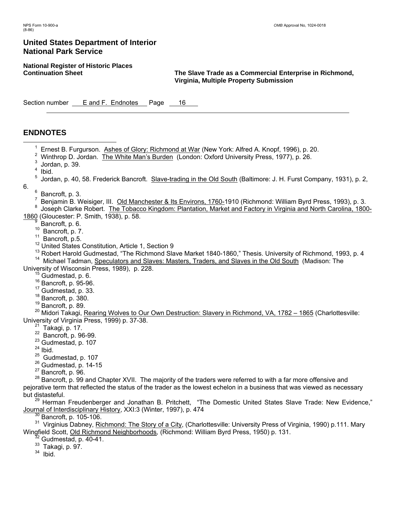**National Register of Historic Places** 

**The Slave Trade as a Commercial Enterprise in Richmond, Virginia, Multiple Property Submission** 

Section number E and F. Endnotes Page 16

# **ENDNOTES**

- <sup>1</sup> <sup>1</sup> Ernest B. Furgurson. Ashes of Glory: Richmond at War (New York: Alfred A. Knopf, 1996), p. 20.
	- <sup>2</sup> Winthrop D. Jordan. The White Man's Burden (London: Oxford University Press, 1977), p. 26.
	- $3$  Jordan, p. 39.
	- <sup>4</sup> Ibid.
	- <sup>5</sup> Jordan, p. 40, 58. Frederick Bancroft. Slave-trading in the Old South (Baltimore: J. H. Furst Company, 1931), p. 2,
- 6.
- $<sup>6</sup>$  Bancroft, p. 3.</sup>
- <sup>7</sup> Benjamin B. Weisiger, III. <u>Old Manchester & Its Environs, 1760-</u>1910 (Richmond: William Byrd Press, 1993), p. 3.<br><sup>8</sup> Joseph Clarke Bebert, The Tebesce Kingdom: Plentation, Market and Eestervin Virginia and Nerth Carol
- 8 Joseph Clarke Robert. The Tobacco Kingdom: Plantation, Market and Factory in Virginia and North Carolina, 1800-1860 (Gloucester: P. Smith, 1938), p. 58.
	- 9
	- $^{9}$  Bancroft, p. 6.<br><sup>10</sup> Bancroft, p. 7.
	-
	- <sup>11</sup> Bancroft, p.5.  $12$  Bancroft, p.5. 10 Bancroft, p.5. 12 United States Constitution, Article 1, Section 9
- <sup>13</sup> Robert Harold Gudmestad, "The Richmond Slave Market 1840-1860," Thesis. University of Richmond, 1993, p. 4<br><sup>14</sup> Michael Tadman, <u>Speculators and Slaves: Masters, Traders, and Slaves in the Old South</u> (Madison: The<br>Un

- 
- 
- 
- 
- 

<sup>15</sup> Gudmestad, p. 6.<br><sup>16</sup> Bancroft, p. 95-96.<br><sup>17</sup> Gudmestad, p. 33.<br><sup>18</sup> Bancroft, p. 380.<br><sup>19</sup> Bancroft, p. 89.<br><sup>20</sup> Midori Takagi, Rearing Wolves to Our Own Destruction: Slavery in Richmond, VA, 1782 – 1865 (Charlottes University of Virginia Press, 1999) p. 37-38.<br>
<sup>21</sup> Takagi, p. 17.<br>
<sup>22</sup> Bancroft, p. 96-99.<br>
<sup>23</sup> Gudmestad, p. 107<br>
<sup>24</sup> Ibid.<br>
<sup>25</sup> Gudmestad, p. 107

- 
- 
- 
- 
- 
- 
- 

<sup>26</sup> Gudmestad, p. 14-15<br><sup>27</sup> Bancroft, p. 96.<br><sup>28</sup> Bancroft, p. 99 and Chapter XVII. The majority of the traders were referred to with a far more offensive and pejorative term that reflected the status of the trader as the lowest echelon in a business that was viewed as necessary but distasteful.

<sup>29</sup> Herman Freudenberger and Jonathan B. Pritchett, "The Domestic United States Slave Trade: New Evidence," Journal of Interdisciplinary History, XXI:3 (Winter, 1997), p. 474<br><sup>30</sup> Bancroft, p. 105-106. 31<br><sup>31</sup> Virginius Dabney, Richmond: The Story of a City, (Charlottesville: University Press of Virginia, 1990) p.111. Mary

Wingfield Scott, <u>Old Richmond Neighborhoods</u>, (Richmond: William Byrd Press, 1950) p. 131.<br><sup>32</sup> Gudmestad, p. 40-41.<br><sup>33</sup> Takagi, p. 97.<br><sup>34</sup> Ibid.